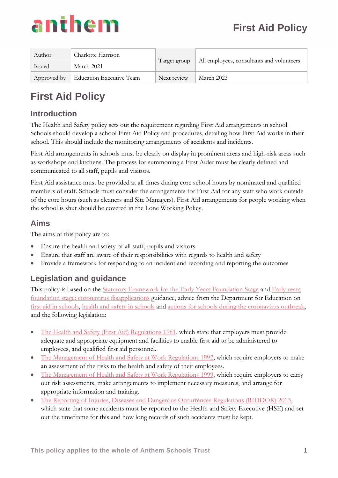

| Author        | Charlotte Harrison                     |              | All employees, consultants and volunteers |
|---------------|----------------------------------------|--------------|-------------------------------------------|
| <b>Issued</b> | March 2021                             | Target group |                                           |
|               | Approved by   Education Executive Team | Next review  | March 2023                                |

#### **Introduction**

The Health and Safety policy sets out the requirement regarding First Aid arrangements in school. Schools should develop a school First Aid Policy and procedures, detailing how First Aid works in their school. This should include the monitoring arrangements of accidents and incidents.

First Aid arrangements in schools must be clearly on display in prominent areas and high-risk areas such as workshops and kitchens. The process for summoning a First Aider must be clearly defined and communicated to all staff, pupils and visitors.

First Aid assistance must be provided at all times during core school hours by nominated and qualified members of staff. Schools must consider the arrangements for First Aid for any staff who work outside of the core hours (such as cleaners and Site Managers). First Aid arrangements for people working when the school is shut should be covered in the Lone Working Policy.

#### **Aims**

The aims of this policy are to:

- Ensure the health and safety of all staff, pupils and visitors
- Ensure that staff are aware of their responsibilities with regards to health and safety
- Provide a framework for responding to an incident and recording and reporting the outcomes

#### **Legislation and guidance**

This policy is based on the [Statutory Framework for the Early Years Foundation Stage](https://www.gov.uk/government/publications/early-years-foundation-stage-framework--2) and [Early years](https://www.gov.uk/government/publications/early-years-foundation-stage-framework--2/early-years-foundation-stage-coronavirus-disapplications)  [foundation stage: coronavirus disapplications](https://www.gov.uk/government/publications/early-years-foundation-stage-framework--2/early-years-foundation-stage-coronavirus-disapplications) guidance, advice from the Department for Education on [first aid in schools,](https://www.gov.uk/government/publications/first-aid-in-schools) [health and safety in schools](https://www.gov.uk/government/publications/health-and-safety-advice-for-schools) and [actions for schools during the coronavirus outbreak,](https://www.gov.uk/government/publications/actions-for-schools-during-the-coronavirus-outbreak) and the following legislation:

- [The Health and Safety \(First Aid\) Regulations 1981,](http://www.legislation.gov.uk/uksi/1981/917/regulation/3/made) which state that employers must provide adequate and appropriate equipment and facilities to enable first aid to be administered to employees, and qualified first aid personnel.
- [The Management of Health and Safety at Work Regulations 1992,](http://www.legislation.gov.uk/uksi/1992/2051/regulation/3/made) which require employers to make an assessment of the risks to the health and safety of their employees.
- [The Management of Health and Safety at Work Regulations 1999,](http://www.legislation.gov.uk/uksi/1999/3242/contents/made) which require employers to carry out risk assessments, make arrangements to implement necessary measures, and arrange for appropriate information and training.
- [The Reporting of Injuries, Diseases and Dangerous Occurrences Regulations \(RIDDOR\) 2013,](http://www.legislation.gov.uk/uksi/2013/1471/schedule/1/paragraph/1/made) which state that some accidents must be reported to the Health and Safety Executive (HSE) and set out the timeframe for this and how long records of such accidents must be kept.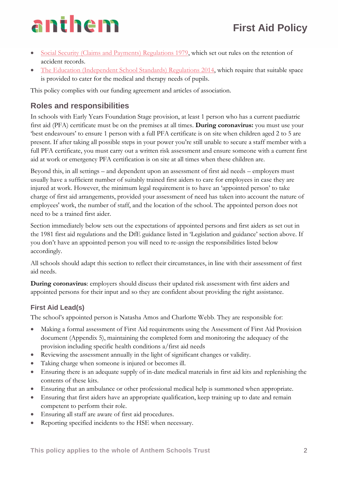- [Social Security \(Claims and Payments\) Regulations 1979,](http://www.legislation.gov.uk/uksi/1979/628) which set out rules on the retention of accident records.
- [The Education \(Independent School Standards\) Regulations 2014,](http://www.legislation.gov.uk/uksi/2014/3283/schedule/made) which require that suitable space is provided to cater for the medical and therapy needs of pupils.

This policy complies with our funding agreement and articles of association.

#### **Roles and responsibilities**

In schools with Early Years Foundation Stage provision, at least 1 person who has a current paediatric first aid (PFA) certificate must be on the premises at all times. **During coronavirus:** you must use your 'best endeavours' to ensure 1 person with a full PFA certificate is on site when children aged 2 to 5 are present. If after taking all possible steps in your power you're still unable to secure a staff member with a full PFA certificate, you must carry out a written risk assessment and ensure someone with a current first aid at work or emergency PFA certification is on site at all times when these children are.

Beyond this, in all settings – and dependent upon an assessment of first aid needs – employers must usually have a sufficient number of suitably trained first aiders to care for employees in case they are injured at work. However, the minimum legal requirement is to have an 'appointed person' to take charge of first aid arrangements, provided your assessment of need has taken into account the nature of employees' work, the number of staff, and the location of the school. The appointed person does not need to be a trained first aider.

Section immediately below sets out the expectations of appointed persons and first aiders as set out in the 1981 first aid regulations and the DfE guidance listed in 'Legislation and guidance' section above. If you don't have an appointed person you will need to re-assign the responsibilities listed below accordingly.

All schools should adapt this section to reflect their circumstances, in line with their assessment of first aid needs.

**During coronavirus**: employers should discuss their updated risk assessment with first aiders and appointed persons for their input and so they are confident about providing the right assistance.

#### **First Aid Lead(s)**

The school's appointed person is Natasha Amos and Charlotte Webb. They are responsible for:

- Making a formal assessment of First Aid requirements using the Assessment of First Aid Provision document (Appendix 5), maintaining the completed form and monitoring the adequacy of the provision including specific health conditions a/first aid needs
- Reviewing the assessment annually in the light of significant changes or validity.
- Taking charge when someone is injured or becomes ill.
- Ensuring there is an adequate supply of in-date medical materials in first aid kits and replenishing the contents of these kits.
- Ensuring that an ambulance or other professional medical help is summoned when appropriate.
- Ensuring that first aiders have an appropriate qualification, keep training up to date and remain competent to perform their role.
- Ensuring all staff are aware of first aid procedures.
- Reporting specified incidents to the HSE when necessary.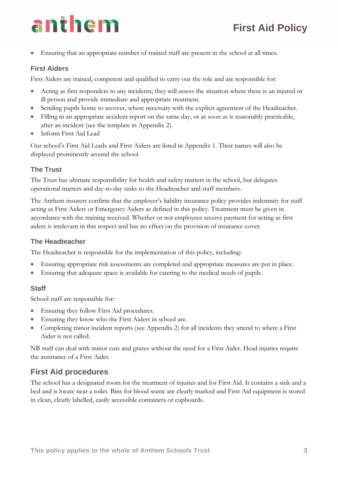• Ensuring that an appropriate number of trained staff are present in the school at all times.

#### **First Aiders**

First Aiders are trained, competent and qualified to carry out the role and are responsible for:

- Acting as first responders to any incidents; they will assess the situation where there is an injured or ill person and provide immediate and appropriate treatment.
- Sending pupils home to recover, where necessary with the explicit agreement of the Headteacher.
- Filling in an appropriate accident report on the same day, or as soon as is reasonably practicable, after an incident (see the template in Appendix 2).
- Inform First Aid Lead

Our school's First Aid Leads and First Aiders are listed in Appendix 1. Their names will also be displayed prominently around the school.

#### **The Trust**

The Trust has ultimate responsibility for health and safety matters in the school, but delegates operational matters and day-to-day tasks to the Headteacher and staff members.

The Anthem insurers confirm that the employer's liability insurance policy provides indemnity for staff acting as First Aiders or Emergency Aiders as defined in this policy. Treatment must be given in accordance with the training received. Whether or not employees receive payment for acting as first aiders is irrelevant in this respect and has no effect on the provision of insurance cover.

#### **The Headteacher**

The Headteacher is responsible for the implementation of this policy, including:

- Ensuring appropriate risk assessments are completed and appropriate measures are put in place.
- Ensuring that adequate space is available for catering to the medical needs of pupils.

#### **Staff**

School staff are responsible for:

- Ensuring they follow First Aid procedures.
- Ensuring they know who the First Aiders in school are.
- Completing minor incident reports (see Appendix 2) for all incidents they attend to where a First Aider is not called.

NB staff can deal with minor cuts and grazes without the need for a First Aider. Head injuries require the assistance of a First Aider.

### **First Aid procedures**

The school has a designated room for the treatment of injuries and for First Aid. It contains a sink and a bed and is locate near a toilet. Bins for blood waste are clearly marked and First Aid equipment is stored in clean, clearly labelled, easily accessible containers or cupboards.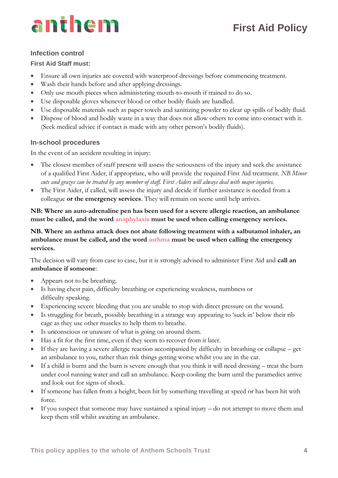#### **Infection control**

#### **First Aid Staff must:**

- Ensure all own injuries are covered with waterproof dressings before commencing treatment.
- Wash their hands before and after applying dressings.
- Only use mouth pieces when administering mouth-to-mouth if trained to do so.
- Use disposable gloves whenever blood or other bodily fluids are handled.
- Use disposable materials such as paper towels and sanitizing powder to clear up spills of bodily fluid.
- Dispose of blood and bodily waste in a way that does not allow others to come into contact with it. (Seek medical advice if contact is made with any other person's bodily fluids).

#### **In-school procedures**

In the event of an accident resulting in injury:

- The closest member of staff present will assess the seriousness of the injury and seek the assistance of a qualified First Aider, if appropriate, who will provide the required First Aid treatment. *NB Minor cuts and grazes can be treated by any member of staff. First Aiders will always deal with major injuries.*
- The First Aider, if called, will assess the injury and decide if further assistance is needed from a colleague **or the emergency services**. They will remain on scene until help arrives.

**NB: Where an auto-adrenaline pen has been used for a severe allergic reaction, an ambulance must be called, and the word anaphylaxis must be used when calling emergency services.**

**NB. Where an asthma attack does not abate following treatment with a salbutamol inhaler, an ambulance must be called, and the word asthma must be used when calling the emergency services.**

The decision will vary from case to case, but it is strongly advised to administer First Aid and **call an ambulance if someone**:

- Appears not to be breathing.
- Is having chest pain, difficulty breathing or experiencing weakness, numbness or difficulty speaking.
- Experiencing severe bleeding that you are unable to stop with direct pressure on the wound.
- Is struggling for breath, possibly breathing in a strange way appearing to 'suck in' below their rib cage as they use other muscles to help them to breathe.
- Is unconscious or unaware of what is going on around them.
- Has a fit for the first time, even if they seem to recover from it later.
- If they are having a severe allergic reaction accompanied by difficulty in breathing or collapse get an ambulance to you, rather than risk things getting worse whilst you are in the car.
- If a child is burnt and the burn is severe enough that you think it will need dressing treat the burn under cool running water and call an ambulance. Keep cooling the burn until the paramedics arrive and look out for signs of shock.
- If someone has fallen from a height, been hit by something travelling at speed or has been hit with force.
- If you suspect that someone may have sustained a spinal injury  $-$  do not attempt to move them and keep them still whilst awaiting an ambulance.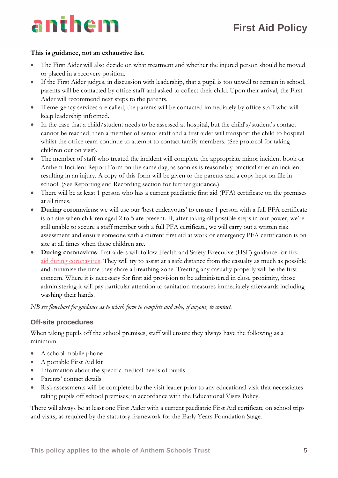# anthem

#### **This is guidance, not an exhaustive list.**

- The First Aider will also decide on what treatment and whether the injured person should be moved or placed in a recovery position.
- If the First Aider judges, in discussion with leadership, that a pupil is too unwell to remain in school, parents will be contacted by office staff and asked to collect their child. Upon their arrival, the First Aider will recommend next steps to the parents.
- If emergency services are called, the parents will be contacted immediately by office staff who will keep leadership informed.
- In the case that a child/student needs to be assessed at hospital, but the child's/student's contact cannot be reached, then a member of senior staff and a first aider will transport the child to hospital whilst the office team continue to attempt to contact family members. (See protocol for taking children out on visit).
- The member of staff who treated the incident will complete the appropriate minor incident book or Anthem Incident Report Form on the same day, as soon as is reasonably practical after an incident resulting in an injury. A copy of this form will be given to the parents and a copy kept on file in school. (See Reporting and Recording section for further guidance.)
- There will be at least 1 person who has a current paediatric first aid (PFA) certificate on the premises at all times.
- **During coronavirus**: we will use our 'best endeavours' to ensure 1 person with a full PFA certificate is on site when children aged 2 to 5 are present. If, after taking all possible steps in our power, we're still unable to secure a staff member with a full PFA certificate, we will carry out a written risk assessment and ensure someone with a current first aid at work or emergency PFA certification is on site at all times when these children are.
- **During coronavirus**: first aiders will follow Health and Safety Executive (HSE) guidance for [first](https://www.hse.gov.uk/coronavirus/first-aid-and-medicals/first-aid-certificate-coronavirus.htm)  [aid during coronavirus.](https://www.hse.gov.uk/coronavirus/first-aid-and-medicals/first-aid-certificate-coronavirus.htm) They will try to assist at a safe distance from the casualty as much as possible and minimise the time they share a breathing zone. Treating any casualty properly will be the first concern. Where it is necessary for first aid provision to be administered in close proximity, those administering it will pay particular attention to sanitation measures immediately afterwards including washing their hands.

*NB see flowchart for guidance as to which form to complete and who, if anyone, to contact.*

#### **Off-site procedures**

When taking pupils off the school premises, staff will ensure they always have the following as a minimum:

- A school mobile phone
- A portable First Aid kit
- Information about the specific medical needs of pupils
- Parents' contact details
- Risk assessments will be completed by the visit leader prior to any educational visit that necessitates taking pupils off school premises, in accordance with the Educational Visits Policy.

There will always be at least one First Aider with a current paediatric First Aid certificate on school trips and visits, as required by the statutory framework for the Early Years Foundation Stage.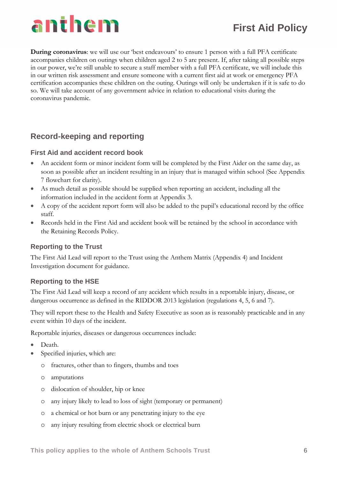### **First Aid Policy**

**During coronavirus**: we will use our 'best endeavours' to ensure 1 person with a full PFA certificate accompanies children on outings when children aged 2 to 5 are present. If, after taking all possible steps in our power, we're still unable to secure a staff member with a full PFA certificate, we will include this in our written risk assessment and ensure someone with a current first aid at work or emergency PFA certification accompanies these children on the outing. Outings will only be undertaken if it is safe to do so. We will take account of any government advice in relation to educational visits during the coronavirus pandemic.

#### **Record-keeping and reporting**

#### **First Aid and accident record book**

- An accident form or minor incident form will be completed by the First Aider on the same day, as soon as possible after an incident resulting in an injury that is managed within school (See Appendix 7 flowchart for clarity).
- As much detail as possible should be supplied when reporting an accident, including all the information included in the accident form at Appendix 3.
- A copy of the accident report form will also be added to the pupil's educational record by the office staff.
- Records held in the First Aid and accident book will be retained by the school in accordance with the Retaining Records Policy.

#### **Reporting to the Trust**

The First Aid Lead will report to the Trust using the Anthem Matrix (Appendix 4) and Incident Investigation document for guidance.

#### **Reporting to the HSE**

The First Aid Lead will keep a record of any accident which results in a reportable injury, disease, or dangerous occurrence as defined in the RIDDOR 2013 legislation (regulations 4, 5, 6 and 7).

They will report these to the Health and Safety Executive as soon as is reasonably practicable and in any event within 10 days of the incident.

Reportable injuries, diseases or dangerous occurrences include:

- Death.
- Specified injuries, which are:
	- o fractures, other than to fingers, thumbs and toes
	- o amputations
	- o dislocation of shoulder, hip or knee
	- o any injury likely to lead to loss of sight (temporary or permanent)
	- o a chemical or hot burn or any penetrating injury to the eye
	- o any injury resulting from electric shock or electrical burn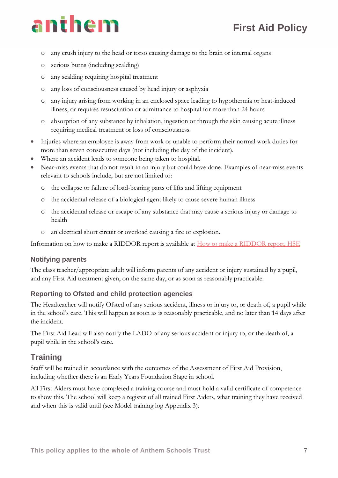# anthem

- o any crush injury to the head or torso causing damage to the brain or internal organs
- o serious burns (including scalding)
- o any scalding requiring hospital treatment
- o any loss of consciousness caused by head injury or asphyxia
- o any injury arising from working in an enclosed space leading to hypothermia or heat-induced illness, or requires resuscitation or admittance to hospital for more than 24 hours
- o absorption of any substance by inhalation, ingestion or through the skin causing acute illness requiring medical treatment or loss of consciousness.
- Injuries where an employee is away from work or unable to perform their normal work duties for more than seven consecutive days (not including the day of the incident).
- Where an accident leads to someone being taken to hospital.
- Near-miss events that do not result in an injury but could have done. Examples of near-miss events relevant to schools include, but are not limited to:
	- o the collapse or failure of load-bearing parts of lifts and lifting equipment
	- o the accidental release of a biological agent likely to cause severe human illness
	- o the accidental release or escape of any substance that may cause a serious injury or damage to health
	- o an electrical short circuit or overload causing a fire or explosion.

Information on how to make a RIDDOR report is available at **How** to make a RIDDOR report, HSE

#### **Notifying parents**

The class teacher/appropriate adult will inform parents of any accident or injury sustained by a pupil, and any First Aid treatment given, on the same day, or as soon as reasonably practicable.

#### **Reporting to Ofsted and child protection agencies**

The Headteacher will notify Ofsted of any serious accident, illness or injury to, or death of, a pupil while in the school's care. This will happen as soon as is reasonably practicable, and no later than 14 days after the incident.

The First Aid Lead will also notify the LADO of any serious accident or injury to, or the death of, a pupil while in the school's care.

#### **Training**

Staff will be trained in accordance with the outcomes of the Assessment of First Aid Provision, including whether there is an Early Years Foundation Stage in school.

All First Aiders must have completed a training course and must hold a valid certificate of competence to show this. The school will keep a register of all trained First Aiders, what training they have received and when this is valid until (see Model training log Appendix 3).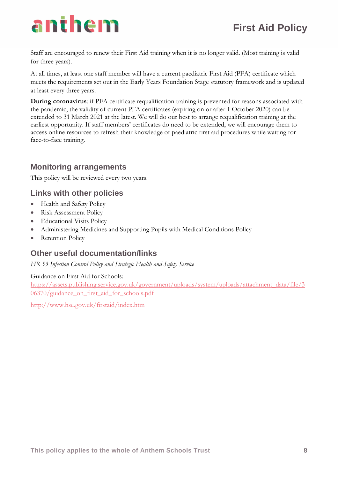Staff are encouraged to renew their First Aid training when it is no longer valid. (Most training is valid for three years).

At all times, at least one staff member will have a current paediatric First Aid (PFA) certificate which meets the requirements set out in the Early Years Foundation Stage statutory framework and is updated at least every three years.

**During coronavirus:** if PFA certificate requalification training is prevented for reasons associated with the pandemic, the validity of current PFA certificates (expiring on or after 1 October 2020) can be extended to 31 March 2021 at the latest. We will do our best to arrange requalification training at the earliest opportunity. If staff members' certificates do need to be extended, we will encourage them to access online resources to refresh their knowledge of paediatric first aid procedures while waiting for face-to-face training.

#### **Monitoring arrangements**

This policy will be reviewed every two years.

#### **Links with other policies**

- Health and Safety Policy
- Risk Assessment Policy
- Educational Visits Policy
- Administering Medicines and Supporting Pupils with Medical Conditions Policy
- Retention Policy

#### **Other useful documentation/links**

*HR 53 Infection Control Policy and Strategic Health and Safety Service*

#### Guidance on First Aid for Schools:

[https://assets.publishing.service.gov.uk/government/uploads/system/uploads/attachment\\_data/file/3](https://assets.publishing.service.gov.uk/government/uploads/system/uploads/attachment_data/file/306370/guidance_on_first_aid_for_schools.pdf) [06370/guidance\\_on\\_first\\_aid\\_for\\_schools.pdf](https://assets.publishing.service.gov.uk/government/uploads/system/uploads/attachment_data/file/306370/guidance_on_first_aid_for_schools.pdf)

<http://www.hse.gov.uk/firstaid/index.htm>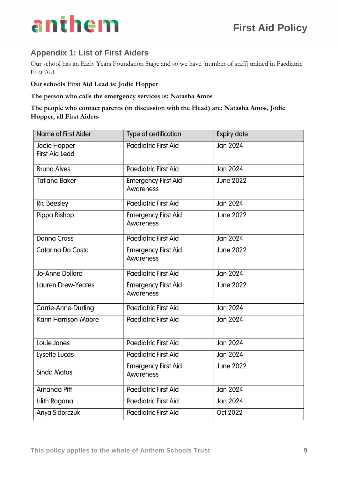

#### **Appendix 1: List of First Aiders**

Our school has an Early Years Foundation Stage and so we have [number of staff] trained in Paediatric First Aid.

**Our schools First Aid Lead is: Jodie Hopper**

#### **The person who calls the emergency services is: Natasha Amos**

**The people who contact parents (in discussion with the Head) are: Natasha Amos, Jodie Hopper, all First Aiders**

| Name of First Aider                   | Type of certification                   | <b>Expiry date</b> |
|---------------------------------------|-----------------------------------------|--------------------|
| Jodie Hopper<br><b>First Aid Lead</b> | Paediatric First Aid                    | Jan 2024           |
| <b>Bruno Alves</b>                    | Paediatric First Aid                    | Jan 2024           |
| <b>Tatiana Baker</b>                  | <b>Emergency First Aid</b><br>Awareness | <b>June 2022</b>   |
| <b>Ric Beesley</b>                    | Paediatric First Aid                    | Jan 2024           |
| Pippa Bishop                          | <b>Emergency First Aid</b><br>Awareness | <b>June 2022</b>   |
| <b>Donna Cross</b>                    | Paediatric First Aid                    | Jan 2024           |
| Catarina Da Costa                     | <b>Emergency First Aid</b><br>Awareness | <b>June 2022</b>   |
| <b>Jo-Anne Dollard</b>                | Paediatric First Aid                    | Jan 2024           |
| <b>Lauren Drew-Yeates</b>             | <b>Emergency First Aid</b><br>Awareness | <b>June 2022</b>   |
| Carrie-Anne-Durling                   | <b>Paediatric First Aid</b>             | Jan 2024           |
| <b>Karin Harrison-Moore</b>           | <b>Paediatric First Aid</b>             | Jan 2024           |
| Louie Jones                           | <b>Paediatric First Aid</b>             | <b>Jan 2024</b>    |
| Lysette Lucas                         | Paediatric First Aid                    | Jan 2024           |
| <b>Sinda Matos</b>                    | <b>Emergency First Aid</b><br>Awareness | <b>June 2022</b>   |
| Amanda Pitt                           | Paediatric First Aid                    | <b>Jan 2024</b>    |
| Lilith Ragana                         | Paediatric First Aid                    | Jan 2024           |
| Anya Sidorczuk                        | <b>Paediatric First Aid</b>             | Oct 2022           |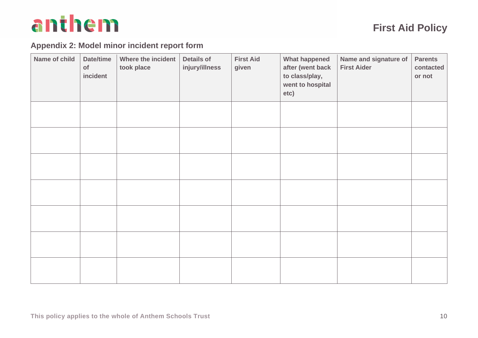### **Appendix 2: Model minor incident report form**

| Name of child | Date/time<br>of<br>incident | Where the incident<br>took place | <b>Details of</b><br>injury/illness | <b>First Aid</b><br>given | <b>What happened</b><br>after (went back<br>to class/play,<br>went to hospital<br>etc) | Name and signature of<br><b>First Aider</b> | <b>Parents</b><br>contacted<br>or not |
|---------------|-----------------------------|----------------------------------|-------------------------------------|---------------------------|----------------------------------------------------------------------------------------|---------------------------------------------|---------------------------------------|
|               |                             |                                  |                                     |                           |                                                                                        |                                             |                                       |
|               |                             |                                  |                                     |                           |                                                                                        |                                             |                                       |
|               |                             |                                  |                                     |                           |                                                                                        |                                             |                                       |
|               |                             |                                  |                                     |                           |                                                                                        |                                             |                                       |
|               |                             |                                  |                                     |                           |                                                                                        |                                             |                                       |
|               |                             |                                  |                                     |                           |                                                                                        |                                             |                                       |
|               |                             |                                  |                                     |                           |                                                                                        |                                             |                                       |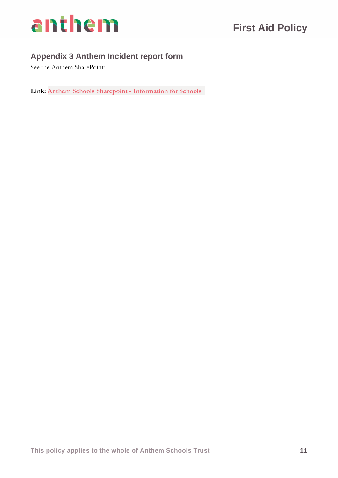

### **Appendix 3 Anthem Incident report form**

See the Anthem SharePoint:

**Link: [Anthem Schools Sharepoint -](https://anthemtrust.sharepoint.com/:f:/s/InformationforSchools/EqhQwDaz1c5LhOcO4dbF_koB6tu8-Ys9ARWVA3FajWfK0A?e=uIzMPb) Information for Schools**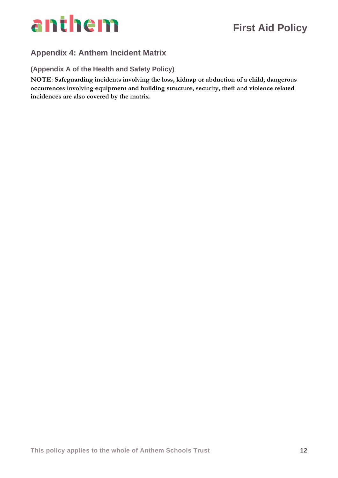

### **Appendix 4: Anthem Incident Matrix**

**(Appendix A of the Health and Safety Policy)**

**NOTE: Safeguarding incidents involving the loss, kidnap or abduction of a child, dangerous occurrences involving equipment and building structure, security, theft and violence related incidences are also covered by the matrix.**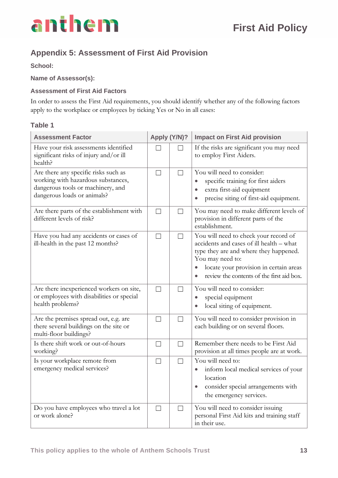

### **Appendix 5: Assessment of First Aid Provision**

**School:** 

**Name of Assessor(s):** 

#### **Assessment of First Aid Factors**

In order to assess the First Aid requirements, you should identify whether any of the following factors apply to the workplace or employees by ticking Yes or No in all cases:

#### **Table 1**

| <b>Assessment Factor</b>                                                                                                                       | Apply (Y/N)?      |         | <b>Impact on First Aid provision</b>                                                                                                                                                                                                                |  |
|------------------------------------------------------------------------------------------------------------------------------------------------|-------------------|---------|-----------------------------------------------------------------------------------------------------------------------------------------------------------------------------------------------------------------------------------------------------|--|
| Have your risk assessments identified<br>significant risks of injury and/or ill<br>health?                                                     |                   | П       | If the risks are significant you may need<br>to employ First Aiders.                                                                                                                                                                                |  |
| Are there any specific risks such as<br>working with hazardous substances,<br>dangerous tools or machinery, and<br>dangerous loads or animals? | $\vert \ \ \vert$ | $\perp$ | You will need to consider:<br>specific training for first aiders<br>extra first-aid equipment<br>$\bullet$<br>precise siting of first-aid equipment.                                                                                                |  |
| Are there parts of the establishment with<br>different levels of risk?                                                                         | П                 | П       | You may need to make different levels of<br>provision in different parts of the<br>establishment.                                                                                                                                                   |  |
| Have you had any accidents or cases of<br>ill-health in the past 12 months?                                                                    | П                 | $\Box$  | You will need to check your record of<br>accidents and cases of ill health - what<br>type they are and where they happened.<br>You may need to:<br>locate your provision in certain areas<br>$\bullet$<br>review the contents of the first aid box. |  |
| Are there inexperienced workers on site,<br>or employees with disabilities or special<br>health problems?                                      | $\Box$            | П       | You will need to consider:<br>special equipment<br>local siting of equipment.                                                                                                                                                                       |  |
| Are the premises spread out, e.g. are<br>there several buildings on the site or<br>multi-floor buildings?                                      | $\Box$            | $\Box$  | You will need to consider provision in<br>each building or on several floors.                                                                                                                                                                       |  |
| Is there shift work or out-of-hours<br>working?                                                                                                | $\Box$            | $\Box$  | Remember there needs to be First Aid<br>provision at all times people are at work.                                                                                                                                                                  |  |
| Is your workplace remote from<br>emergency medical services?                                                                                   | $\Box$            | $\Box$  | You will need to:<br>inform local medical services of your<br>$\bullet$<br>location<br>consider special arrangements with<br>$\bullet$<br>the emergency services.                                                                                   |  |
| Do you have employees who travel a lot<br>or work alone?                                                                                       | $\Box$            | $\Box$  | You will need to consider issuing<br>personal First Aid kits and training staff<br>in their use.                                                                                                                                                    |  |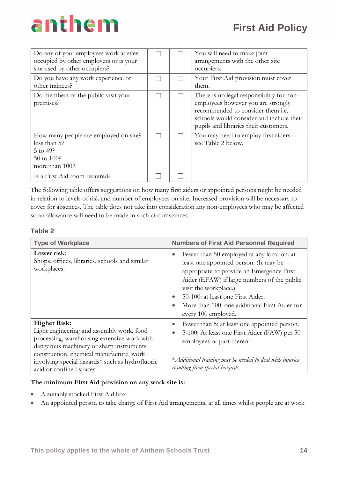| Do any of your employees work at sites<br>occupied by other employers or is your<br>site used by other occupiers? |  | You will need to make joint<br>arrangements with the other site<br>occupiers.                                                                                                                             |
|-------------------------------------------------------------------------------------------------------------------|--|-----------------------------------------------------------------------------------------------------------------------------------------------------------------------------------------------------------|
| Do you have any work experience or<br>other trainees?                                                             |  | Your First Aid provision must cover<br>them.                                                                                                                                                              |
| Do members of the public visit your<br>premises?                                                                  |  | There is no legal responsibility for non-<br>employees however you are strongly<br>recommended to consider them i.e.<br>schools would consider and include their<br>pupils and libraries their customers. |
| How many people are employed on site?<br>less than 5?<br>$5$ to 49?<br>50 to 100?<br>more than 100?               |  | You may need to employ first aiders -<br>see Table 2 below.                                                                                                                                               |
| Is a First Aid room required?                                                                                     |  |                                                                                                                                                                                                           |

The following table offers suggestions on how many first aiders or appointed persons might be needed in relation to levels of risk and number of employees on site. Increased provision will be necessary to cover for absences. The table does not take into consideration any non-employees who may be affected so an allowance will need to be made in such circumstances.

#### **Table 2**

| <b>Type of Workplace</b>                                                                                                                                                                                                                                                               | <b>Numbers of First Aid Personnel Required</b>                                                                                                                                                                                                                                                                                      |
|----------------------------------------------------------------------------------------------------------------------------------------------------------------------------------------------------------------------------------------------------------------------------------------|-------------------------------------------------------------------------------------------------------------------------------------------------------------------------------------------------------------------------------------------------------------------------------------------------------------------------------------|
| Lower risk:<br>Shops, offices, libraries, schools and similar<br>workplaces.                                                                                                                                                                                                           | Fewer than 50 employed at any location: at<br>least one appointed person. (It may be<br>appropriate to provide an Emergency First<br>Aider (EFAW) if large numbers of the public<br>visit the workplace.)<br>50-100: at least one First Aider.<br>More than 100: one additional First Aider for<br>$\bullet$<br>every 100 employed. |
| <b>Higher Risk:</b><br>Light engineering and assembly work, food<br>processing, warehousing extensive work with<br>dangerous machinery or sharp instruments<br>construction, chemical manufacture, work<br>involving special hazards* such as hydrofluoric<br>acid or confined spaces. | Fewer than 5: at least one appointed person.<br>$\bullet$<br>5-100: At least one First Aider (FAW) per 50<br>$\bullet$<br>employees or part thereof.<br>* Additional training may be needed to deal with injuries<br>resulting from special hazards.                                                                                |

#### **The minimum First Aid provision on any work site is:**

- A suitably stocked First Aid box
- An appointed person to take charge of First Aid arrangements, at all times whilst people are at work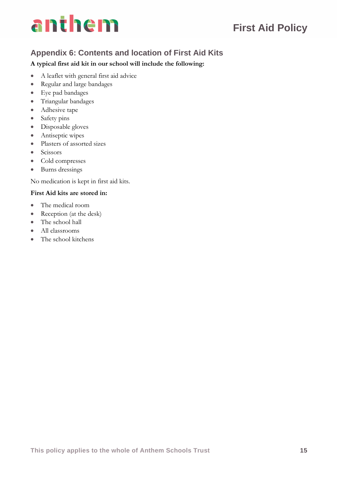### **First Aid Policy**

### **Appendix 6: Contents and location of First Aid Kits**

#### **A typical first aid kit in our school will include the following:**

- A leaflet with general first aid advice
- Regular and large bandages
- Eye pad bandages
- Triangular bandages
- Adhesive tape
- Safety pins
- Disposable gloves
- Antiseptic wipes
- Plasters of assorted sizes
- Scissors
- Cold compresses
- Burns dressings

No medication is kept in first aid kits.

#### **First Aid kits are stored in:**

- The medical room
- Reception (at the desk)
- The school hall
- All classrooms
- The school kitchens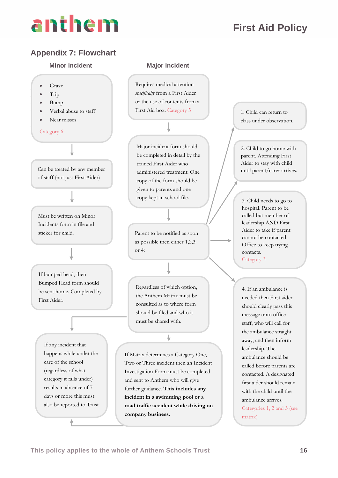### **First Aid Policy**

#### **Appendix 7: Flowchart**

#### **Minor incident Major incident**



Requires medical attention *specifically* from a First Aider or the use of contents from a First Aid box. Category 5

Major incident form should be completed in detail by the trained First Aider who administered treatment. One copy of the form should be given to parents and one copy kept in school file.

Parent to be notified as soon as possible then either 1,2,3 or 4:

Regardless of which option, the Anthem Matrix must be consulted as to where form should be filed and who it must be shared with.

↓

If Matrix determines a Category One, Two or Three incident then an Incident Investigation Form must be completed and sent to Anthem who will give further guidance. **This includes any incident in a swimming pool or a road traffic accident while driving on company business.**

1. Child can return to class under observation.

2. Child to go home with parent. Attending First Aider to stay with child until parent/carer arrives.

3. Child needs to go to hospital. Parent to be called but member of leadership AND First Aider to take if parent cannot be contacted. Office to keep trying contacts. Category 3

4. If an ambulance is needed then First aider should clearly pass this message onto office staff, who will call for the ambulance straight away, and then inform leadership. The ambulance should be called before parents are contacted. A designated first aider should remain with the child until the ambulance arrives. Categories 1, 2 and 3 (see matrix)